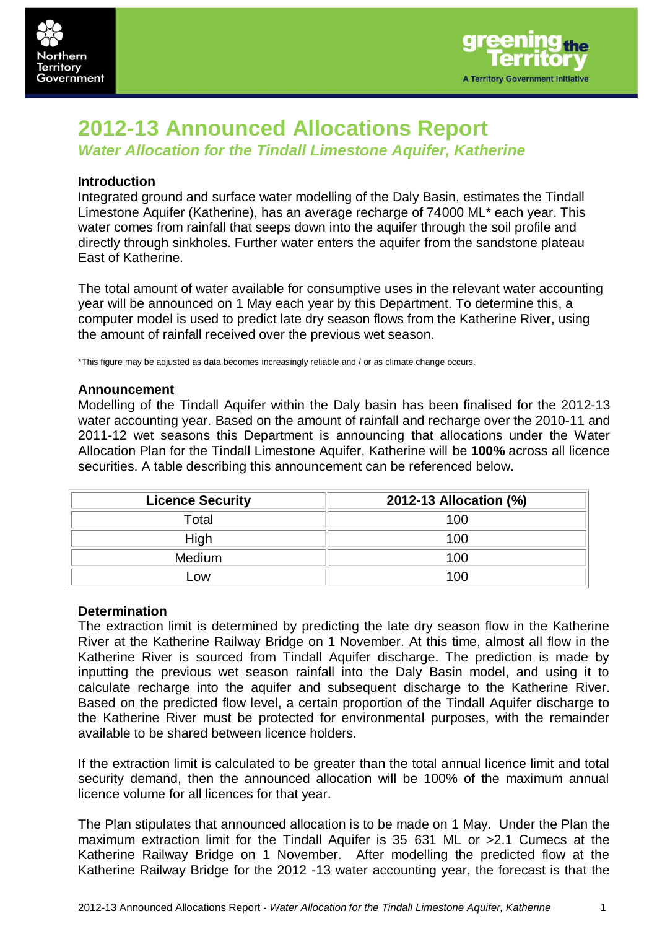



# **2012-13 Announced Allocations Report**

*Water Allocation for the Tindall Limestone Aquifer, Katherine*

# **Introduction**

Integrated ground and surface water modelling of the Daly Basin, estimates the Tindall Limestone Aquifer (Katherine), has an average recharge of 74000 ML\* each year. This water comes from rainfall that seeps down into the aquifer through the soil profile and directly through sinkholes. Further water enters the aquifer from the sandstone plateau East of Katherine.

The total amount of water available for consumptive uses in the relevant water accounting year will be announced on 1 May each year by this Department. To determine this, a computer model is used to predict late dry season flows from the Katherine River, using the amount of rainfall received over the previous wet season.

\*This figure may be adjusted as data becomes increasingly reliable and / or as climate change occurs.

## **Announcement**

Modelling of the Tindall Aquifer within the Daly basin has been finalised for the 2012-13 water accounting year. Based on the amount of rainfall and recharge over the 2010-11 and 2011-12 wet seasons this Department is announcing that allocations under the Water Allocation Plan for the Tindall Limestone Aquifer, Katherine will be **100%** across all licence securities. A table describing this announcement can be referenced below.

| <b>Licence Security</b> | 2012-13 Allocation (%) |  |
|-------------------------|------------------------|--|
| Total                   | 100                    |  |
| High                    | 100                    |  |
| Medium                  | 100                    |  |
| _OW                     | 100                    |  |

## **Determination**

The extraction limit is determined by predicting the late dry season flow in the Katherine River at the Katherine Railway Bridge on 1 November. At this time, almost all flow in the Katherine River is sourced from Tindall Aquifer discharge. The prediction is made by inputting the previous wet season rainfall into the Daly Basin model, and using it to calculate recharge into the aquifer and subsequent discharge to the Katherine River. Based on the predicted flow level, a certain proportion of the Tindall Aquifer discharge to the Katherine River must be protected for environmental purposes, with the remainder available to be shared between licence holders.

If the extraction limit is calculated to be greater than the total annual licence limit and total security demand, then the announced allocation will be 100% of the maximum annual licence volume for all licences for that year.

The Plan stipulates that announced allocation is to be made on 1 May. Under the Plan the maximum extraction limit for the Tindall Aquifer is 35 631 ML or >2.1 Cumecs at the Katherine Railway Bridge on 1 November. After modelling the predicted flow at the Katherine Railway Bridge for the 2012 -13 water accounting year, the forecast is that the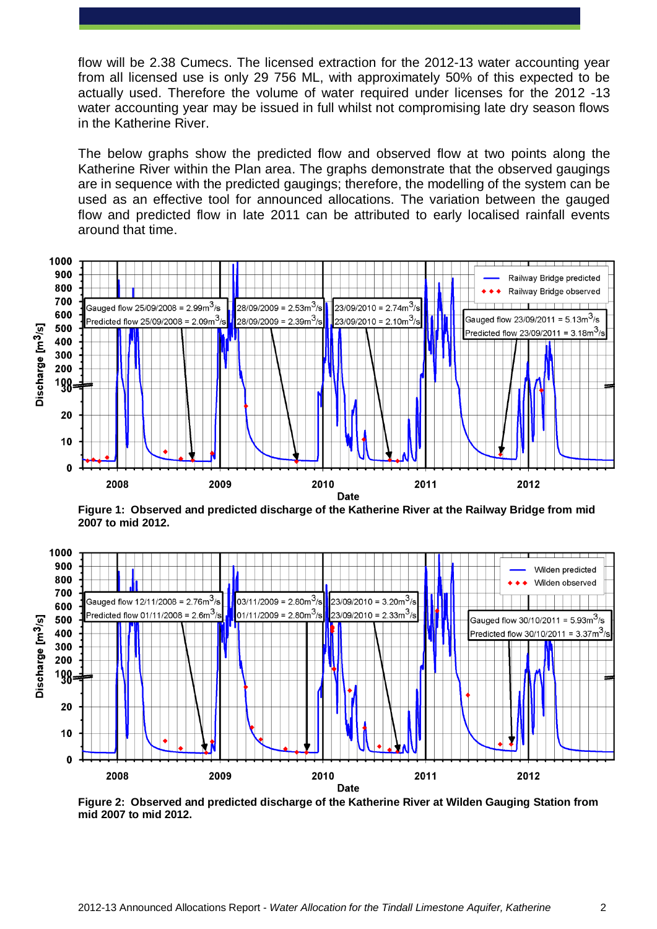flow will be 2.38 Cumecs. The licensed extraction for the 2012-13 water accounting year from all licensed use is only 29 756 ML, with approximately 50% of this expected to be actually used. Therefore the volume of water required under licenses for the 2012 -13 water accounting year may be issued in full whilst not compromising late dry season flows in the Katherine River.

The below graphs show the predicted flow and observed flow at two points along the Katherine River within the Plan area. The graphs demonstrate that the observed gaugings are in sequence with the predicted gaugings; therefore, the modelling of the system can be used as an effective tool for announced allocations. The variation between the gauged flow and predicted flow in late 2011 can be attributed to early localised rainfall events around that time.



**Figure 1: Observed and predicted discharge of the Katherine River at the Railway Bridge from mid 2007 to mid 2012.**



**Figure 2: Observed and predicted discharge of the Katherine River at Wilden Gauging Station from mid 2007 to mid 2012.**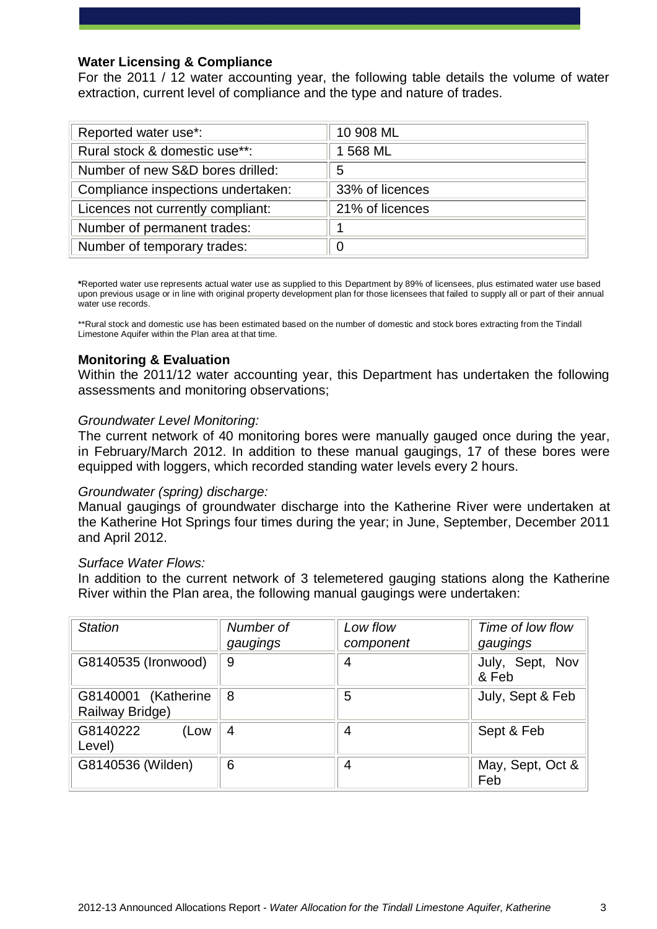# **Water Licensing & Compliance**

For the 2011 / 12 water accounting year, the following table details the volume of water extraction, current level of compliance and the type and nature of trades.

| Reported water use*:               | 10 908 ML       |
|------------------------------------|-----------------|
| Rural stock & domestic use**:      | 1 568 ML        |
| Number of new S&D bores drilled:   | 5               |
| Compliance inspections undertaken: | 33% of licences |
| Licences not currently compliant:  | 21% of licences |
| Number of permanent trades:        |                 |
| Number of temporary trades:        | $\overline{0}$  |

**\***Reported water use represents actual water use as supplied to this Department by 89% of licensees, plus estimated water use based upon previous usage or in line with original property development plan for those licensees that failed to supply all or part of their annual water use records.

\*\*Rural stock and domestic use has been estimated based on the number of domestic and stock bores extracting from the Tindall Limestone Aquifer within the Plan area at that time.

# **Monitoring & Evaluation**

Within the 2011/12 water accounting year, this Department has undertaken the following assessments and monitoring observations;

#### *Groundwater Level Monitoring:*

The current network of 40 monitoring bores were manually gauged once during the year, in February/March 2012. In addition to these manual gaugings, 17 of these bores were equipped with loggers, which recorded standing water levels every 2 hours.

#### *Groundwater (spring) discharge:*

Manual gaugings of groundwater discharge into the Katherine River were undertaken at the Katherine Hot Springs four times during the year; in June, September, December 2011 and April 2012.

#### *Surface Water Flows:*

In addition to the current network of 3 telemetered gauging stations along the Katherine River within the Plan area, the following manual gaugings were undertaken:

| <b>Station</b>                         | Number of<br>gaugings | Low flow<br>component | Time of low flow<br>gaugings |
|----------------------------------------|-----------------------|-----------------------|------------------------------|
| G8140535 (Ironwood)                    | 9                     | 4                     | July, Sept, Nov<br>& Feb     |
| G8140001 (Katherine<br>Railway Bridge) | 8                     | 5                     | July, Sept & Feb             |
| G8140222<br>(Low<br>Level)             | 4                     | 4                     | Sept & Feb                   |
| G8140536 (Wilden)                      | 6                     | 4                     | May, Sept, Oct &<br>Feb      |